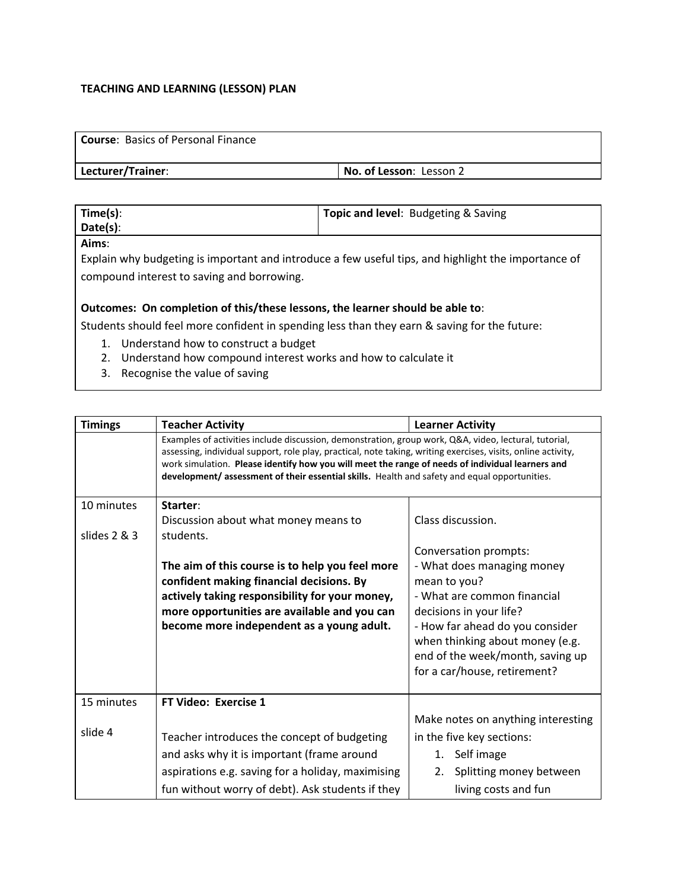## **TEACHING AND LEARNING (LESSON) PLAN**

| <b>Course: Basics of Personal Finance</b> |                         |
|-------------------------------------------|-------------------------|
| Lecturer/Trainer:                         | No. of Lesson: Lesson 2 |

| Time(s): | Topic and level: Budgeting & Saving |
|----------|-------------------------------------|
| Date(s): |                                     |
| - - -    |                                     |

**Aims**:

Explain why budgeting is important and introduce a few useful tips, and highlight the importance of compound interest to saving and borrowing.

## **Outcomes: On completion of this/these lessons, the learner should be able to**:

Students should feel more confident in spending less than they earn & saving for the future:

- 1. Understand how to construct a budget
- 2. Understand how compound interest works and how to calculate it
- 3. Recognise the value of saving

| <b>Timings</b> | <b>Teacher Activity</b>                                                                                                                                                                                                                                                                                                                                                                                                    | <b>Learner Activity</b>                                                                                                                                                                                                                                                 |  |
|----------------|----------------------------------------------------------------------------------------------------------------------------------------------------------------------------------------------------------------------------------------------------------------------------------------------------------------------------------------------------------------------------------------------------------------------------|-------------------------------------------------------------------------------------------------------------------------------------------------------------------------------------------------------------------------------------------------------------------------|--|
|                | Examples of activities include discussion, demonstration, group work, Q&A, video, lectural, tutorial,<br>assessing, individual support, role play, practical, note taking, writing exercises, visits, online activity,<br>work simulation. Please identify how you will meet the range of needs of individual learners and<br>development/assessment of their essential skills. Health and safety and equal opportunities. |                                                                                                                                                                                                                                                                         |  |
| 10 minutes     | Starter:                                                                                                                                                                                                                                                                                                                                                                                                                   |                                                                                                                                                                                                                                                                         |  |
|                | Discussion about what money means to                                                                                                                                                                                                                                                                                                                                                                                       | Class discussion.                                                                                                                                                                                                                                                       |  |
| slides 2 & 3   | students.<br>The aim of this course is to help you feel more<br>confident making financial decisions. By<br>actively taking responsibility for your money,<br>more opportunities are available and you can<br>become more independent as a young adult.                                                                                                                                                                    | Conversation prompts:<br>- What does managing money<br>mean to you?<br>- What are common financial<br>decisions in your life?<br>- How far ahead do you consider<br>when thinking about money (e.g.<br>end of the week/month, saving up<br>for a car/house, retirement? |  |
| 15 minutes     | <b>FT Video: Exercise 1</b>                                                                                                                                                                                                                                                                                                                                                                                                |                                                                                                                                                                                                                                                                         |  |
| slide 4        |                                                                                                                                                                                                                                                                                                                                                                                                                            | Make notes on anything interesting                                                                                                                                                                                                                                      |  |
|                | Teacher introduces the concept of budgeting                                                                                                                                                                                                                                                                                                                                                                                | in the five key sections:                                                                                                                                                                                                                                               |  |
|                | and asks why it is important (frame around                                                                                                                                                                                                                                                                                                                                                                                 | Self image<br>1.                                                                                                                                                                                                                                                        |  |
|                | aspirations e.g. saving for a holiday, maximising                                                                                                                                                                                                                                                                                                                                                                          | Splitting money between<br>2.                                                                                                                                                                                                                                           |  |
|                | fun without worry of debt). Ask students if they                                                                                                                                                                                                                                                                                                                                                                           | living costs and fun                                                                                                                                                                                                                                                    |  |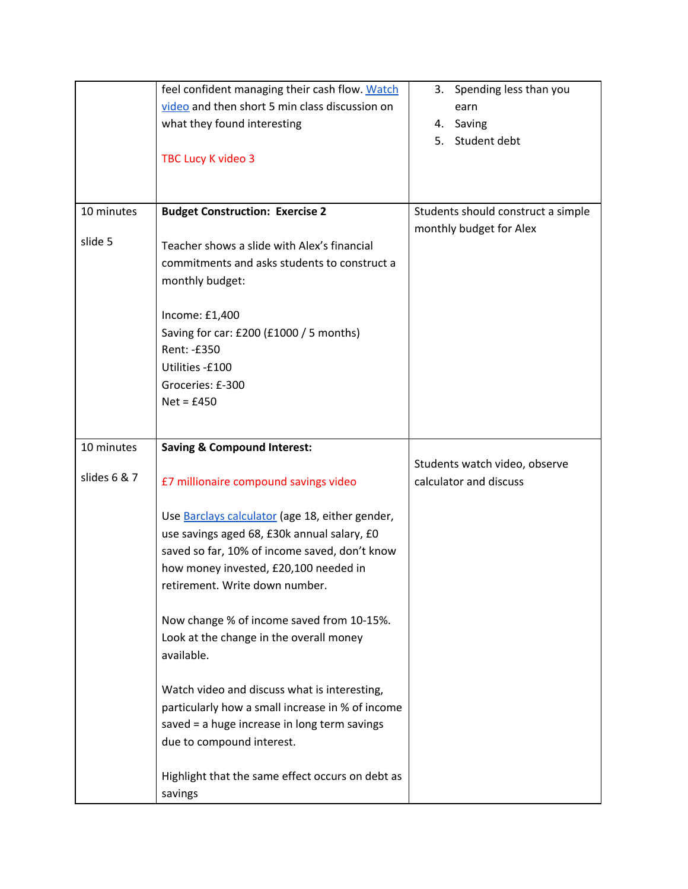|              | feel confident managing their cash flow. Watch<br>video and then short 5 min class discussion on<br>what they found interesting<br><b>TBC Lucy K video 3</b>                                                               | Spending less than you<br>3.<br>earn<br>4. Saving<br>Student debt<br>5. |
|--------------|----------------------------------------------------------------------------------------------------------------------------------------------------------------------------------------------------------------------------|-------------------------------------------------------------------------|
| 10 minutes   | <b>Budget Construction: Exercise 2</b>                                                                                                                                                                                     | Students should construct a simple                                      |
| slide 5      | Teacher shows a slide with Alex's financial<br>commitments and asks students to construct a<br>monthly budget:                                                                                                             | monthly budget for Alex                                                 |
|              | Income: £1,400<br>Saving for car: £200 (£1000 / 5 months)<br>Rent: -£350<br>Utilities -£100<br>Groceries: £-300<br>$Net = £450$                                                                                            |                                                                         |
| 10 minutes   | <b>Saving &amp; Compound Interest:</b>                                                                                                                                                                                     | Students watch video, observe                                           |
| slides 6 & 7 | £7 millionaire compound savings video                                                                                                                                                                                      | calculator and discuss                                                  |
|              | Use Barclays calculator (age 18, either gender,<br>use savings aged 68, £30k annual salary, £0<br>saved so far, 10% of income saved, don't know<br>how money invested, £20,100 needed in<br>retirement. Write down number. |                                                                         |
|              | Now change % of income saved from 10-15%.<br>Look at the change in the overall money<br>available.                                                                                                                         |                                                                         |
|              | Watch video and discuss what is interesting,<br>particularly how a small increase in % of income<br>saved = a huge increase in long term savings<br>due to compound interest.                                              |                                                                         |
|              | Highlight that the same effect occurs on debt as<br>savings                                                                                                                                                                |                                                                         |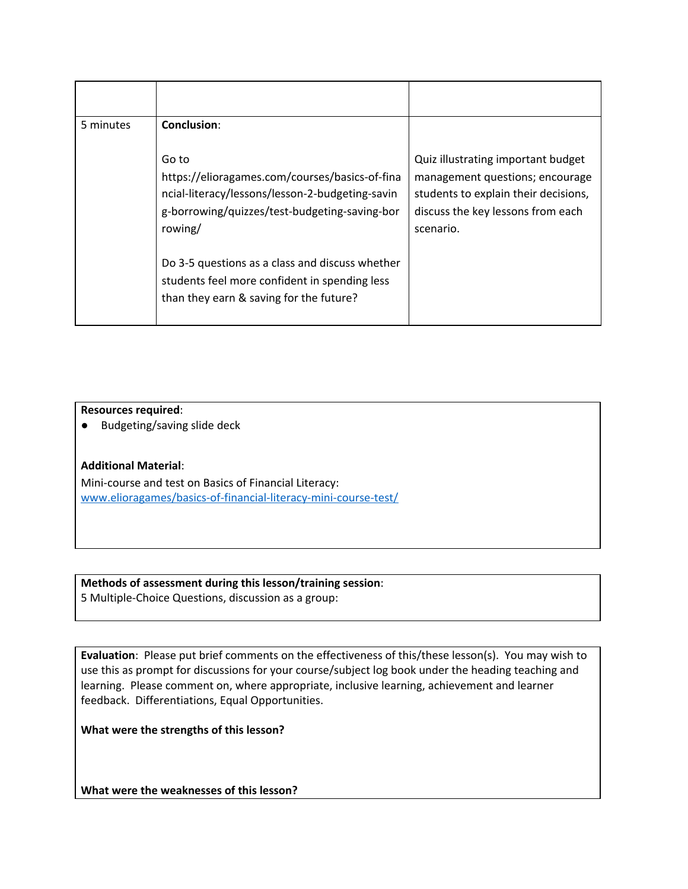| 5 minutes | Conclusion:<br>Go to<br>https://elioragames.com/courses/basics-of-fina<br>ncial-literacy/lessons/lesson-2-budgeting-savin<br>g-borrowing/quizzes/test-budgeting-saving-bor<br>rowing/<br>Do 3-5 questions as a class and discuss whether<br>students feel more confident in spending less | Quiz illustrating important budget<br>management questions; encourage<br>students to explain their decisions,<br>discuss the key lessons from each<br>scenario. |
|-----------|-------------------------------------------------------------------------------------------------------------------------------------------------------------------------------------------------------------------------------------------------------------------------------------------|-----------------------------------------------------------------------------------------------------------------------------------------------------------------|
|           | than they earn & saving for the future?                                                                                                                                                                                                                                                   |                                                                                                                                                                 |

**Resources required**:

● Budgeting/saving slide deck

## **Additional Material**:

Mini-course and test on Basics of Financial Literacy: [www.elioragames/basics-of-financial-literacy-mini-course-test/](http://www.elioragames/basics-of-financial-literacy-mini-course-test/)

**Methods of assessment during this lesson/training session**:

5 Multiple-Choice Questions, discussion as a group:

**Evaluation**: Please put brief comments on the effectiveness of this/these lesson(s). You may wish to use this as prompt for discussions for your course/subject log book under the heading teaching and learning. Please comment on, where appropriate, inclusive learning, achievement and learner feedback. Differentiations, Equal Opportunities.

**What were the strengths of this lesson?**

**What were the weaknesses of this lesson?**